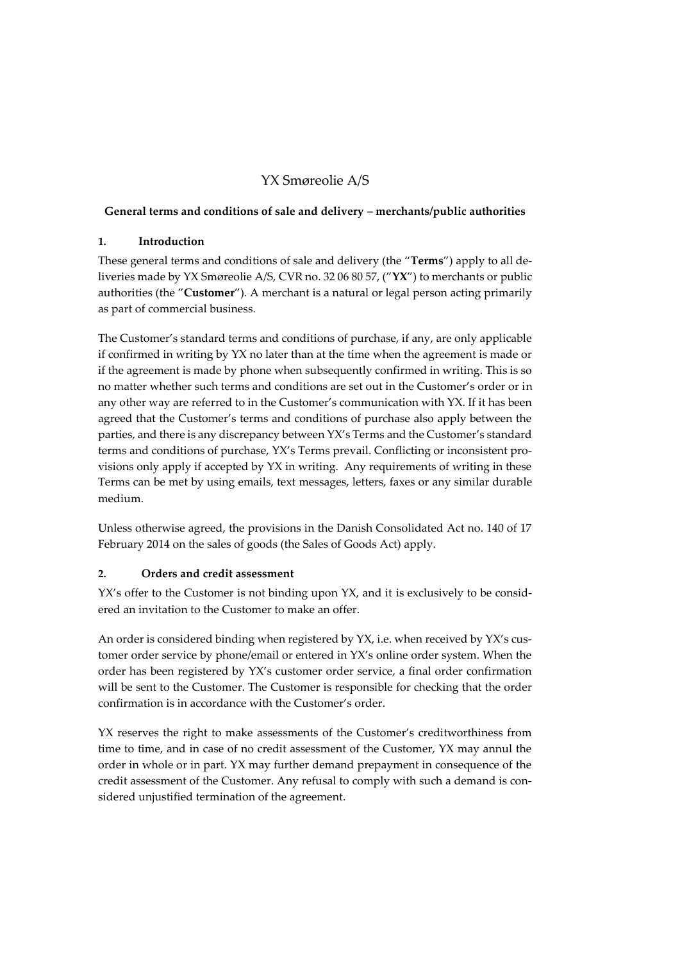# YX Smøreolie A/S

### **General terms and conditions of sale and delivery – merchants/public authorities**

### **1. Introduction**

These general terms and conditions of sale and delivery (the "**Terms**") apply to all deliveries made by YX Smøreolie A/S, CVR no. 32 06 80 57, ("**YX**") to merchants or public authorities (the "**Customer**"). A merchant is a natural or legal person acting primarily as part of commercial business.

The Customer's standard terms and conditions of purchase, if any, are only applicable if confirmed in writing by YX no later than at the time when the agreement is made or if the agreement is made by phone when subsequently confirmed in writing. This is so no matter whether such terms and conditions are set out in the Customer's order or in any other way are referred to in the Customer's communication with YX. If it has been agreed that the Customer's terms and conditions of purchase also apply between the parties, and there is any discrepancy between YX's Terms and the Customer's standard terms and conditions of purchase, YX's Terms prevail. Conflicting or inconsistent provisions only apply if accepted by YX in writing. Any requirements of writing in these Terms can be met by using emails, text messages, letters, faxes or any similar durable medium.

Unless otherwise agreed, the provisions in the Danish Consolidated Act no. 140 of 17 February 2014 on the sales of goods (the Sales of Goods Act) apply.

### **2. Orders and credit assessment**

YX's offer to the Customer is not binding upon YX, and it is exclusively to be considered an invitation to the Customer to make an offer.

An order is considered binding when registered by YX, i.e. when received by YX's customer order service by phone/email or entered in YX's online order system. When the order has been registered by YX's customer order service, a final order confirmation will be sent to the Customer. The Customer is responsible for checking that the order confirmation is in accordance with the Customer's order.

YX reserves the right to make assessments of the Customer's creditworthiness from time to time, and in case of no credit assessment of the Customer, YX may annul the order in whole or in part. YX may further demand prepayment in consequence of the credit assessment of the Customer. Any refusal to comply with such a demand is considered unjustified termination of the agreement.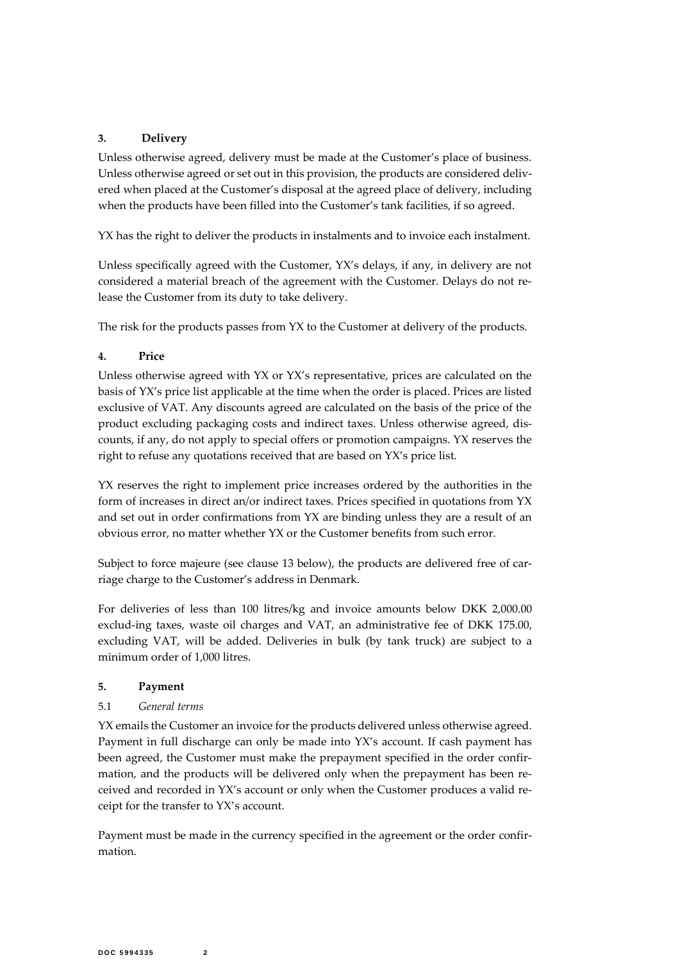## **3. Delivery**

Unless otherwise agreed, delivery must be made at the Customer's place of business. Unless otherwise agreed or set out in this provision, the products are considered delivered when placed at the Customer's disposal at the agreed place of delivery, including when the products have been filled into the Customer's tank facilities, if so agreed.

YX has the right to deliver the products in instalments and to invoice each instalment.

Unless specifically agreed with the Customer, YX's delays, if any, in delivery are not considered a material breach of the agreement with the Customer. Delays do not release the Customer from its duty to take delivery.

The risk for the products passes from YX to the Customer at delivery of the products.

#### **4. Price**

Unless otherwise agreed with YX or YX's representative, prices are calculated on the basis of YX's price list applicable at the time when the order is placed. Prices are listed exclusive of VAT. Any discounts agreed are calculated on the basis of the price of the product excluding packaging costs and indirect taxes. Unless otherwise agreed, discounts, if any, do not apply to special offers or promotion campaigns. YX reserves the right to refuse any quotations received that are based on YX's price list.

YX reserves the right to implement price increases ordered by the authorities in the form of increases in direct an/or indirect taxes. Prices specified in quotations from YX and set out in order confirmations from YX are binding unless they are a result of an obvious error, no matter whether YX or the Customer benefits from such error.

Subject to force majeure (see clause [13](#page-4-0) below), the products are delivered free of carriage charge to the Customer's address in Denmark.

For deliveries of less than 100 litres/kg and invoice amounts below DKK 2,000.00 exclud-ing taxes, waste oil charges and VAT, an administrative fee of DKK 175.00, excluding VAT, will be added. Deliveries in bulk (by tank truck) are subject to a minimum order of 1,000 litres.

#### **5. Payment**

### 5.1 *General terms*

YX emails the Customer an invoice for the products delivered unless otherwise agreed. Payment in full discharge can only be made into YX's account. If cash payment has been agreed, the Customer must make the prepayment specified in the order confirmation, and the products will be delivered only when the prepayment has been received and recorded in YX's account or only when the Customer produces a valid receipt for the transfer to YX's account.

Payment must be made in the currency specified in the agreement or the order confirmation.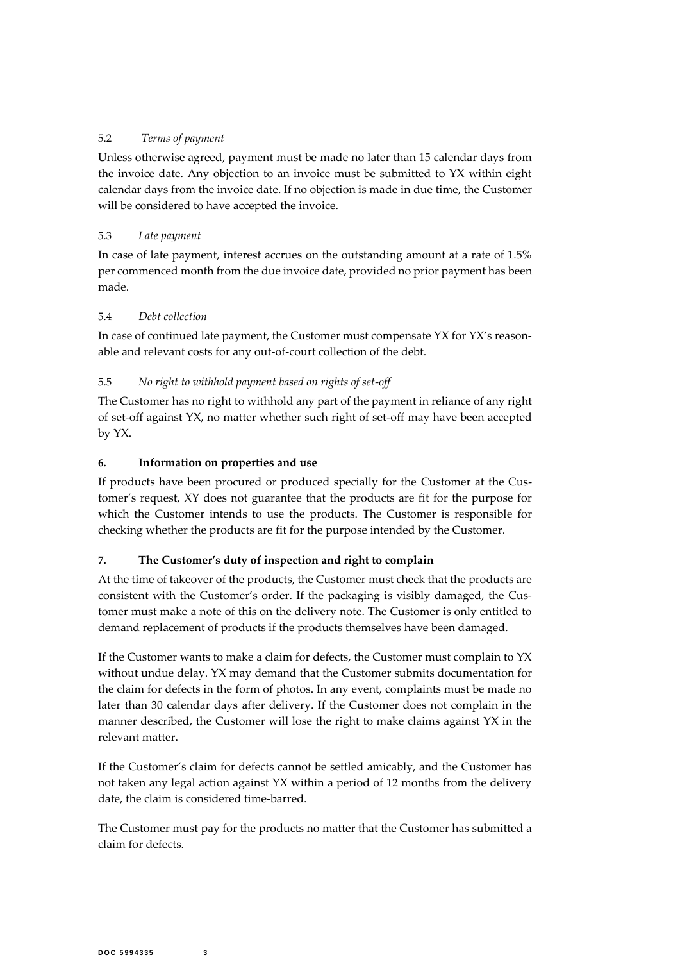## 5.2 *Terms of payment*

Unless otherwise agreed, payment must be made no later than 15 calendar days from the invoice date. Any objection to an invoice must be submitted to YX within eight calendar days from the invoice date. If no objection is made in due time, the Customer will be considered to have accepted the invoice.

## 5.3 *Late payment*

In case of late payment, interest accrues on the outstanding amount at a rate of 1.5% per commenced month from the due invoice date, provided no prior payment has been made.

## 5.4 *Debt collection*

In case of continued late payment, the Customer must compensate YX for YX's reasonable and relevant costs for any out-of-court collection of the debt.

## 5.5 *No right to withhold payment based on rights of set-off*

The Customer has no right to withhold any part of the payment in reliance of any right of set-off against YX, no matter whether such right of set-off may have been accepted by YX.

### **6. Information on properties and use**

If products have been procured or produced specially for the Customer at the Customer's request, XY does not guarantee that the products are fit for the purpose for which the Customer intends to use the products. The Customer is responsible for checking whether the products are fit for the purpose intended by the Customer.

### **7. The Customer's duty of inspection and right to complain**

At the time of takeover of the products, the Customer must check that the products are consistent with the Customer's order. If the packaging is visibly damaged, the Customer must make a note of this on the delivery note. The Customer is only entitled to demand replacement of products if the products themselves have been damaged.

If the Customer wants to make a claim for defects, the Customer must complain to YX without undue delay. YX may demand that the Customer submits documentation for the claim for defects in the form of photos. In any event, complaints must be made no later than 30 calendar days after delivery. If the Customer does not complain in the manner described, the Customer will lose the right to make claims against YX in the relevant matter.

If the Customer's claim for defects cannot be settled amicably, and the Customer has not taken any legal action against YX within a period of 12 months from the delivery date, the claim is considered time-barred.

The Customer must pay for the products no matter that the Customer has submitted a claim for defects.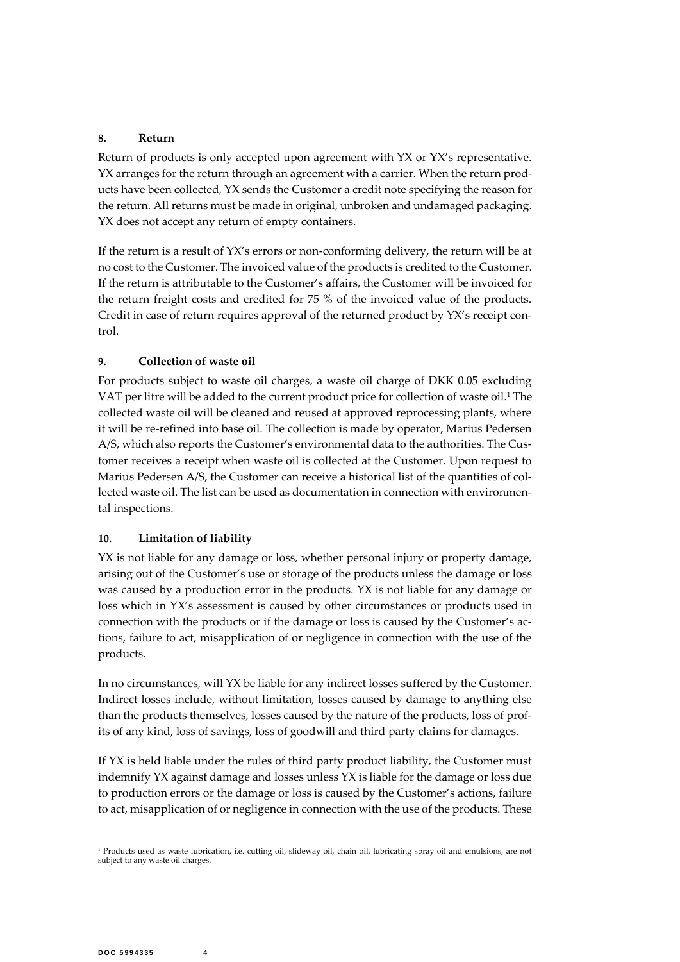#### **8. Return**

Return of products is only accepted upon agreement with YX or YX's representative. YX arranges for the return through an agreement with a carrier. When the return products have been collected, YX sends the Customer a credit note specifying the reason for the return. All returns must be made in original, unbroken and undamaged packaging. YX does not accept any return of empty containers.

If the return is a result of YX's errors or non-conforming delivery, the return will be at no cost to the Customer. The invoiced value of the products is credited to the Customer. If the return is attributable to the Customer's affairs, the Customer will be invoiced for the return freight costs and credited for 75 % of the invoiced value of the products. Credit in case of return requires approval of the returned product by YX's receipt control.

#### **9. Collection of waste oil**

For products subject to waste oil charges, a waste oil charge of DKK 0.05 excluding VAT per litre will be added to the current product price for collection of waste oil.<sup>1</sup> The collected waste oil will be cleaned and reused at approved reprocessing plants, where it will be re-refined into base oil. The collection is made by operator, Marius Pedersen A/S, which also reports the Customer's environmental data to the authorities. The Customer receives a receipt when waste oil is collected at the Customer. Upon request to Marius Pedersen A/S, the Customer can receive a historical list of the quantities of collected waste oil. The list can be used as documentation in connection with environmental inspections.

### **10. Limitation of liability**

YX is not liable for any damage or loss, whether personal injury or property damage, arising out of the Customer's use or storage of the products unless the damage or loss was caused by a production error in the products. YX is not liable for any damage or loss which in YX's assessment is caused by other circumstances or products used in connection with the products or if the damage or loss is caused by the Customer's actions, failure to act, misapplication of or negligence in connection with the use of the products.

In no circumstances, will YX be liable for any indirect losses suffered by the Customer. Indirect losses include, without limitation, losses caused by damage to anything else than the products themselves, losses caused by the nature of the products, loss of profits of any kind, loss of savings, loss of goodwill and third party claims for damages.

If YX is held liable under the rules of third party product liability, the Customer must indemnify YX against damage and losses unless YX is liable for the damage or loss due to production errors or the damage or loss is caused by the Customer's actions, failure to act, misapplication of or negligence in connection with the use of the products. These

-

<sup>&</sup>lt;sup>1</sup> Products used as waste lubrication, i.e. cutting oil, slideway oil, chain oil, lubricating spray oil and emulsions, are not subject to any waste oil charges.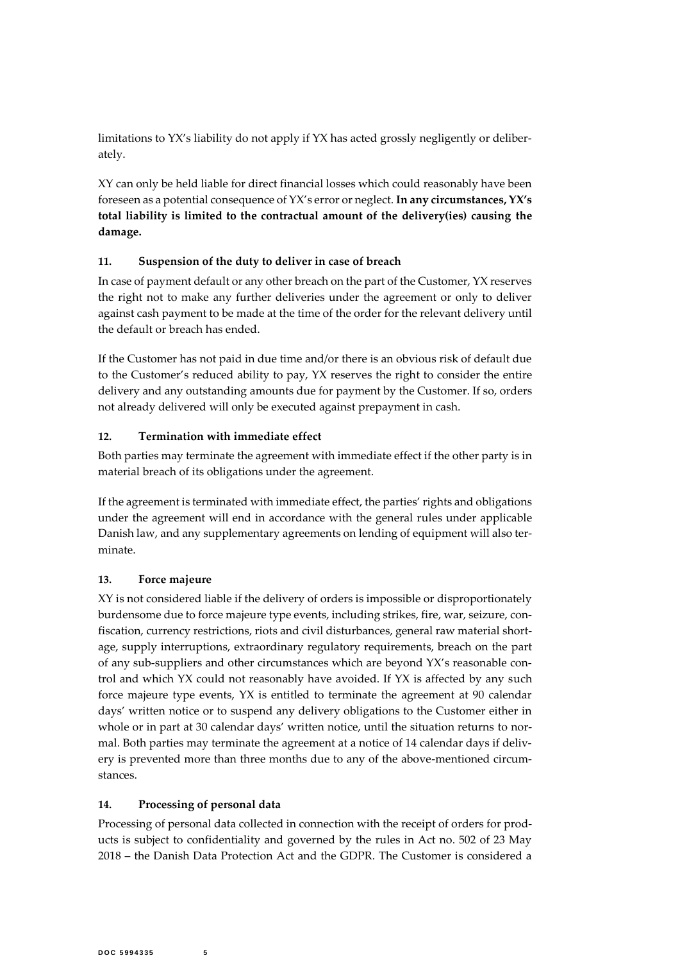limitations to YX's liability do not apply if YX has acted grossly negligently or deliberately.

XY can only be held liable for direct financial losses which could reasonably have been foreseen as a potential consequence of YX's error or neglect. **In any circumstances, YX's total liability is limited to the contractual amount of the delivery(ies) causing the damage.**

## **11. Suspension of the duty to deliver in case of breach**

In case of payment default or any other breach on the part of the Customer, YX reserves the right not to make any further deliveries under the agreement or only to deliver against cash payment to be made at the time of the order for the relevant delivery until the default or breach has ended.

If the Customer has not paid in due time and/or there is an obvious risk of default due to the Customer's reduced ability to pay, YX reserves the right to consider the entire delivery and any outstanding amounts due for payment by the Customer. If so, orders not already delivered will only be executed against prepayment in cash.

# **12. Termination with immediate effect**

Both parties may terminate the agreement with immediate effect if the other party is in material breach of its obligations under the agreement.

If the agreement is terminated with immediate effect, the parties' rights and obligations under the agreement will end in accordance with the general rules under applicable Danish law, and any supplementary agreements on lending of equipment will also terminate.

# <span id="page-4-0"></span>**13. Force majeure**

XY is not considered liable if the delivery of orders is impossible or disproportionately burdensome due to force majeure type events, including strikes, fire, war, seizure, confiscation, currency restrictions, riots and civil disturbances, general raw material shortage, supply interruptions, extraordinary regulatory requirements, breach on the part of any sub-suppliers and other circumstances which are beyond YX's reasonable control and which YX could not reasonably have avoided. If YX is affected by any such force majeure type events, YX is entitled to terminate the agreement at 90 calendar days' written notice or to suspend any delivery obligations to the Customer either in whole or in part at 30 calendar days' written notice, until the situation returns to normal. Both parties may terminate the agreement at a notice of 14 calendar days if delivery is prevented more than three months due to any of the above-mentioned circumstances.

## **14. Processing of personal data**

Processing of personal data collected in connection with the receipt of orders for products is subject to confidentiality and governed by the rules in Act no. 502 of 23 May 2018 – the Danish Data Protection Act and the GDPR. The Customer is considered a